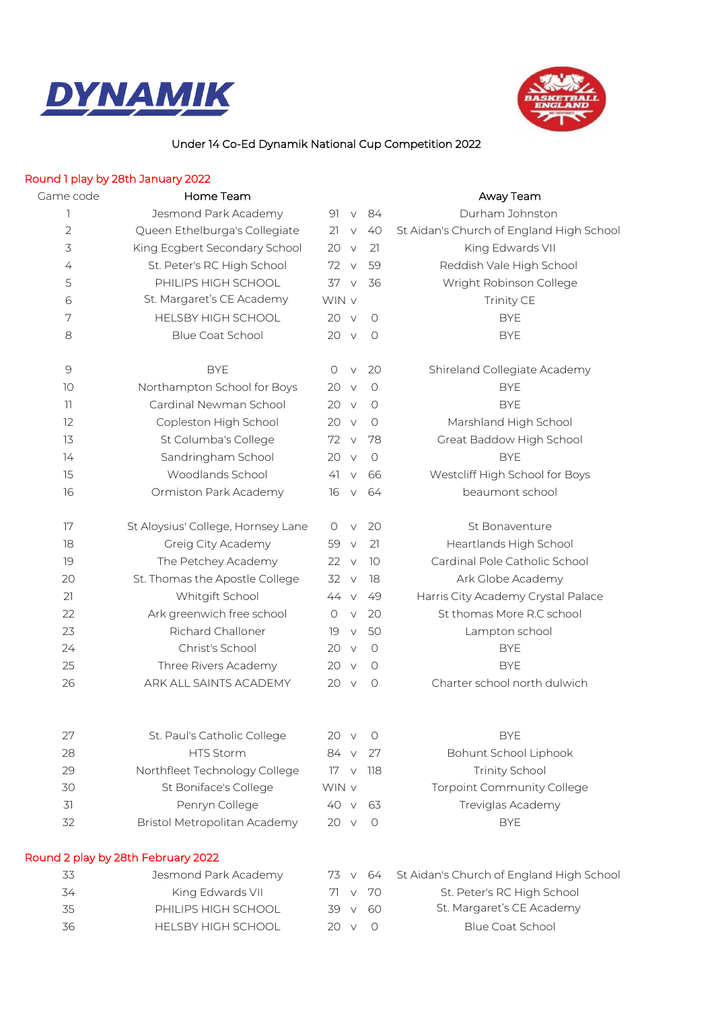



## Under 14 Co-Ed Dynamik National Cup Competition 2022

## Round 1 play by 28th January 2022

| Game code      | Home Team                          |                 |        |         | Away Team                                |
|----------------|------------------------------------|-----------------|--------|---------|------------------------------------------|
| 1              | Jesmond Park Academy               | 91              | $\vee$ | 84      | Durham Johnston                          |
| $\overline{2}$ | Queen Ethelburga's Collegiate      | 21              | $\vee$ | 40      | St Aidan's Church of England High School |
| $\mathfrak{Z}$ | King Ecgbert Secondary School      | 20 v            |        | 21      | King Edwards VII                         |
| $\overline{4}$ | St. Peter's RC High School         | 72 v            |        | 59      | Reddish Vale High School                 |
| 5              | PHILIPS HIGH SCHOOL                | 37 v            |        | 36      | Wright Robinson College                  |
| 6              | St. Margaret's CE Academy          | WIN v           |        |         | Trinity CE                               |
| 7              | <b>HELSBY HIGH SCHOOL</b>          | 20 v            |        | 0       | <b>BYE</b>                               |
| 8              | <b>Blue Coat School</b>            | 20              | $\vee$ | $\circ$ | <b>BYE</b>                               |
| 9              | <b>BYE</b>                         | $\circ$         | $\vee$ | 20      | Shireland Collegiate Academy             |
| 10             | Northampton School for Boys        | 20              | $\vee$ | $\circ$ | <b>BYE</b>                               |
| $\overline{1}$ | Cardinal Newman School             | 20 v            |        | 0       | <b>BYE</b>                               |
| 12             | Copleston High School              | 20              | $\vee$ | $\circ$ | Marshland High School                    |
| 13             | St Columba's College               | 72 v            |        | 78      | Great Baddow High School                 |
| 14             | Sandringham School                 | 20 v            |        | $\circ$ | <b>BYE</b>                               |
| 15             | Woodlands School                   | 41              | $\vee$ | 66      | Westcliff High School for Boys           |
| 16             | Ormiston Park Academy              | 16              | $\vee$ | 64      | beaumont school                          |
| 17             | St Aloysius' College, Hornsey Lane | 0               | $\vee$ | 20      | St Bonaventure                           |
| 18             | Greig City Academy                 | 59              | $\vee$ | 21      | Heartlands High School                   |
| 19             | The Petchey Academy                | 22              | $\vee$ | 10      | Cardinal Pole Catholic School            |
| 20             | St. Thomas the Apostle College     | 32 v            |        | 18      | Ark Globe Academy                        |
| 21             | Whitgift School                    | 44 V            |        | 49      | Harris City Academy Crystal Palace       |
| 22             | Ark greenwich free school          | $\circ$         | $\vee$ | 20      | St thomas More R.C school                |
| 23             | <b>Richard Challoner</b>           | 19              | $\vee$ | 50      | Lampton school                           |
| 24             | Christ's School                    | $20 \quad V$    |        | $\circ$ | <b>BYE</b>                               |
| 25             | Three Rivers Academy               | $20 \quad V$    |        | 0       | <b>BYE</b>                               |
| 26             | ARK ALL SAINTS ACADEMY             | 20 v            |        | 0       | Charter school north dulwich             |
| 27             | St. Paul's Catholic College        | 20 <sub>v</sub> |        | 0       | <b>BYE</b>                               |
| 28             | HTS Storm                          | 84 v            |        | 27      | Bohunt School Liphook                    |
| 29             | Northfleet Technology College      | $17 \quad V$    |        | 118     | <b>Trinity School</b>                    |
| 30             | St Boniface's College              | WIN v           |        |         | Torpoint Community College               |
| 31             | Penryn College                     | 40 v            |        | 63      | Treviglas Academy                        |
| 32             | Bristol Metropolitan Academy       | 20 v            |        | $\circ$ | <b>BYE</b>                               |
|                | Round 2 play by 28th February 2022 |                 |        |         |                                          |
| 33             | Jesmond Park Academy               | 73 v            |        | 64      | St Aidan's Church of England High School |
| 34             | King Edwards VII                   | 71              | $\vee$ | 70      | St. Peter's RC High School               |
| 35             | PHILIPS HIGH SCHOOL                | 39 v            |        | 60      | St. Margaret's CE Academy                |

HELSBY HIGH SCHOOL 20 v 0 Blue Coat School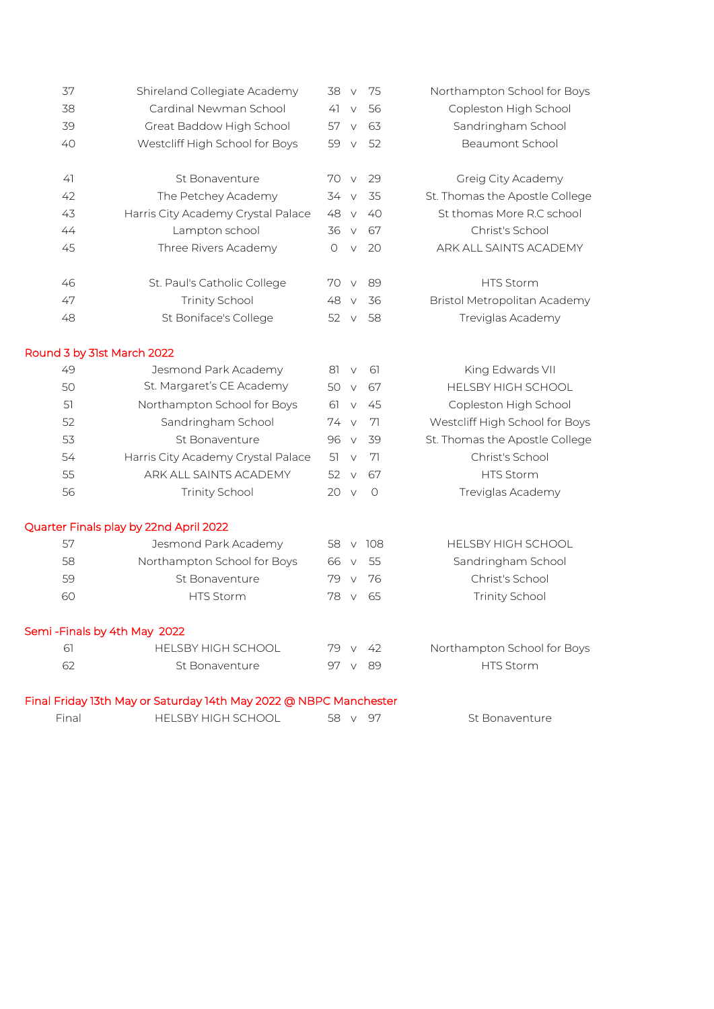| 37                         | Shireland Collegiate Academy                                      | 38 v    |        | 75        | Northampton School for Boys         |
|----------------------------|-------------------------------------------------------------------|---------|--------|-----------|-------------------------------------|
| 38                         | Cardinal Newman School                                            | 41      | $\vee$ | 56        | Copleston High School               |
| 39                         | Great Baddow High School                                          | 57      | $\vee$ | 63        | Sandringham School                  |
| 40                         | Westcliff High School for Boys                                    | 59      | $\vee$ | 52        | Beaumont School                     |
| 41                         | St Bonaventure                                                    | 70 v    |        | 29        | Greig City Academy                  |
| 42                         | The Petchey Academy                                               | 34 v    |        | 35        | St. Thomas the Apostle College      |
| 43                         | Harris City Academy Crystal Palace                                | 48 v    |        | 40        | St thomas More R.C school           |
| 44                         | Lampton school                                                    | 36 v    |        | 67        | Christ's School                     |
| 45                         | Three Rivers Academy                                              | $\circ$ | $\vee$ | 20        | ARK ALL SAINTS ACADEMY              |
| 46                         | St. Paul's Catholic College                                       | 70 v    |        | 89        | <b>HTS Storm</b>                    |
| 47                         | <b>Trinity School</b>                                             | 48 v    |        | 36        | <b>Bristol Metropolitan Academy</b> |
| 48                         | St Boniface's College                                             | 52      | $\vee$ | 58        | Treviglas Academy                   |
| Round 3 by 31st March 2022 |                                                                   |         |        |           |                                     |
| 49                         | Jesmond Park Academy                                              | 81      | $\vee$ | 61        | King Edwards VII                    |
| 50                         | St. Margaret's CE Academy                                         | 50 v    |        | 67        | <b>HELSBY HIGH SCHOOL</b>           |
| 51                         | Northampton School for Boys                                       | 61      | $\vee$ | 45        | Copleston High School               |
| 52                         | Sandringham School                                                | 74 v    |        | 71        | Westcliff High School for Boys      |
| 53                         | St Bonaventure                                                    | 96 v    |        | 39        | St. Thomas the Apostle College      |
| 54                         | Harris City Academy Crystal Palace                                | 51      | $\vee$ | 71        | Christ's School                     |
| 55                         | ARK ALL SAINTS ACADEMY                                            | 52      | V      | 67        | HTS Storm                           |
| 56                         | <b>Trinity School</b>                                             | 20 v    |        | $\bigcap$ | Treviglas Academy                   |
|                            | Quarter Finals play by 22nd April 2022                            |         |        |           |                                     |
| 57                         | Jesmond Park Academy                                              | 58 v    |        | 108       | <b>HELSBY HIGH SCHOOL</b>           |
| 58                         | Northampton School for Boys                                       | 66 v    |        | 55        | Sandringham School                  |
| 59                         | St Bonaventure                                                    | 79 v    |        | 76        | Christ's School                     |
| 60                         | HTS Storm                                                         | 78 v    |        | 65        | <b>Trinity School</b>               |
|                            | Semi -Finals by 4th May 2022                                      |         |        |           |                                     |
| 61                         | <b>HELSBY HIGH SCHOOL</b>                                         | 79.     | $\vee$ | 42        | Northampton School for Boys         |
| 62                         | St Bonaventure                                                    | 97 v    |        | 89        | HTS Storm                           |
|                            | Final Friday 13th May or Saturday 14th May 2022 @ NBPC Manchester |         |        |           |                                     |

Final HELSBY HIGH SCHOOL 58 v 97 St Bonaventure